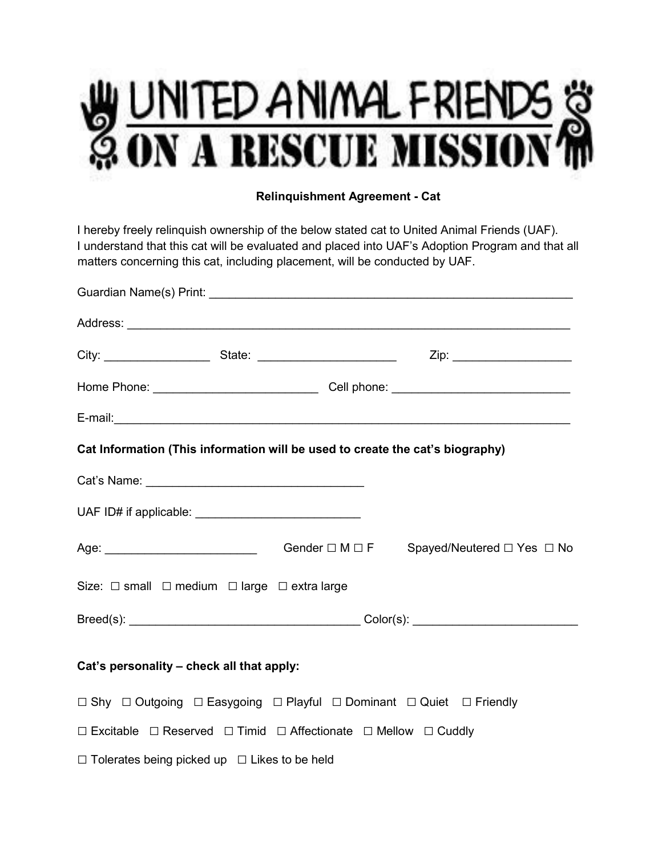

## **Relinquishment Agreement - Cat**

I hereby freely relinquish ownership of the below stated cat to United Animal Friends (UAF). I understand that this cat will be evaluated and placed into UAF's Adoption Program and that all matters concerning this cat, including placement, will be conducted by UAF.

| Cat Information (This information will be used to create the cat's biography)                           |  |
|---------------------------------------------------------------------------------------------------------|--|
|                                                                                                         |  |
|                                                                                                         |  |
| Age: _________________________________Gender □ M □ F Spayed/Neutered □ Yes □ No                         |  |
| Size: □ small □ medium □ large □ extra large                                                            |  |
|                                                                                                         |  |
| Cat's personality - check all that apply:                                                               |  |
| $\Box$ Shy $\Box$ Outgoing $\Box$ Easygoing $\Box$ Playful $\Box$ Dominant $\Box$ Quiet $\Box$ Friendly |  |
| $\Box$ Excitable $\Box$ Reserved $\Box$ Timid $\Box$ Affectionate $\Box$ Mellow $\Box$ Cuddly           |  |
| $\Box$ Tolerates being picked up $\Box$ Likes to be held                                                |  |